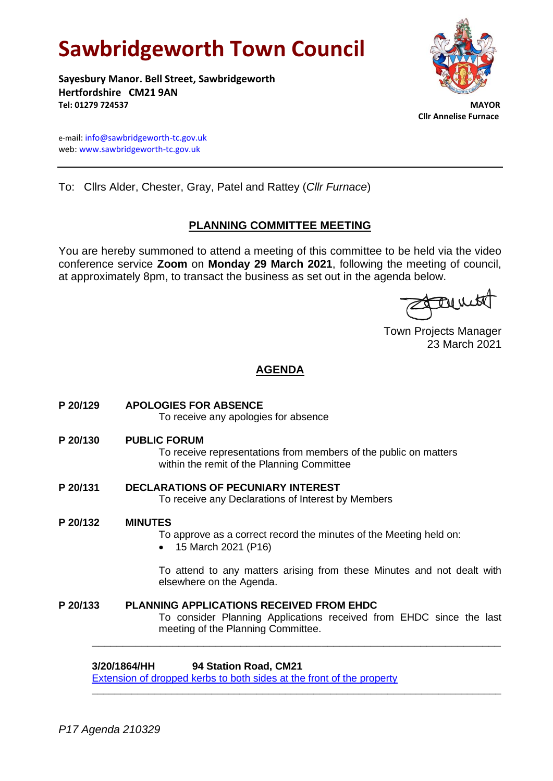# **Sawbridgeworth Town Council**

**Sayesbury Manor. Bell Street, Sawbridgeworth Hertfordshire CM21 9AN Tel: 01279 724537 MAYOR**



 **Cllr Annelise Furnace**

e-mail[: info@sawbridgeworth-tc.gov.uk](mailto:info@sawbridgeworth-tc.gov.uk) web: www.sawbridgeworth-tc.gov.uk

To: Cllrs Alder, Chester, Gray, Patel and Rattey (*Cllr Furnace*)

# **PLANNING COMMITTEE MEETING**

You are hereby summoned to attend a meeting of this committee to be held via the video conference service **Zoom** on **Monday 29 March 2021**, following the meeting of council, at approximately 8pm, to transact the business as set out in the agenda below.

tarment

Town Projects Manager 23 March 2021

# **AGENDA**

|          | 94 Station Road, CM21<br>3/20/1864/HH                                                                                                                        |
|----------|--------------------------------------------------------------------------------------------------------------------------------------------------------------|
| P 20/133 | <b>PLANNING APPLICATIONS RECEIVED FROM EHDC</b><br>To consider Planning Applications received from EHDC since the last<br>meeting of the Planning Committee. |
|          | To attend to any matters arising from these Minutes and not dealt with<br>elsewhere on the Agenda.                                                           |
| P 20/132 | <b>MINUTES</b><br>To approve as a correct record the minutes of the Meeting held on:<br>15 March 2021 (P16)                                                  |
| P 20/131 | <b>DECLARATIONS OF PECUNIARY INTEREST</b><br>To receive any Declarations of Interest by Members                                                              |
| P 20/130 | <b>PUBLIC FORUM</b><br>To receive representations from members of the public on matters<br>within the remit of the Planning Committee                        |
| P 20/129 | <b>APOLOGIES FOR ABSENCE</b><br>To receive any apologies for absence                                                                                         |

**\_\_\_\_\_\_\_\_\_\_\_\_\_\_\_\_\_\_\_\_\_\_\_\_\_\_\_\_\_\_\_\_\_\_\_\_\_\_\_\_\_\_\_\_\_\_\_\_\_\_\_\_\_\_\_\_\_\_\_\_\_\_\_\_\_\_\_\_\_\_\_\_**

[Extension of dropped kerbs to both sides at the front of the property](https://publicaccess.eastherts.gov.uk/online-applications/applicationDetails.do?activeTab=documents&keyVal=QHDJ3DGLIPD00)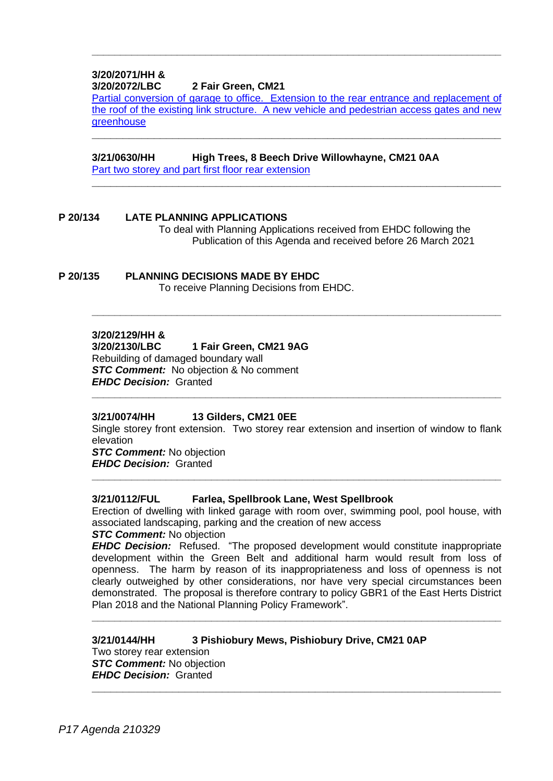#### **3/20/2071/HH & 3/20/2072/LBC 2 Fair Green, CM21**

[Partial conversion of garage to office. Extension to the rear entrance and replacement of](https://publicaccess.eastherts.gov.uk/online-applications/applicationDetails.do?activeTab=documents&keyVal=QILCUVGLJ2Z00)  [the roof of the existing link structure. A new vehicle and pedestrian access gates and new](https://publicaccess.eastherts.gov.uk/online-applications/applicationDetails.do?activeTab=documents&keyVal=QILCUVGLJ2Z00)  **[greenhouse](https://publicaccess.eastherts.gov.uk/online-applications/applicationDetails.do?activeTab=documents&keyVal=QILCUVGLJ2Z00)** 

**\_\_\_\_\_\_\_\_\_\_\_\_\_\_\_\_\_\_\_\_\_\_\_\_\_\_\_\_\_\_\_\_\_\_\_\_\_\_\_\_\_\_\_\_\_\_\_\_\_\_\_\_\_\_\_\_\_\_\_\_\_\_\_\_\_\_**

**\_\_\_\_\_\_\_\_\_\_\_\_\_\_\_\_\_\_\_\_\_\_\_\_\_\_\_\_\_\_\_\_\_\_\_\_\_\_\_\_\_\_\_\_\_\_\_\_\_\_\_\_\_\_\_\_\_\_\_\_\_\_\_\_\_\_**

**\_\_\_\_\_\_\_\_\_\_\_\_\_\_\_\_\_\_\_\_\_\_\_\_\_\_\_\_\_\_\_\_\_\_\_\_\_\_\_\_\_\_\_\_\_\_\_\_\_\_\_\_\_\_\_\_\_\_\_\_\_\_\_\_\_\_\_\_\_\_\_\_**

**\_\_\_\_\_\_\_\_\_\_\_\_\_\_\_\_\_\_\_\_\_\_\_\_\_\_\_\_\_\_\_\_\_\_\_\_\_\_\_\_\_\_\_\_\_\_\_\_\_\_\_\_\_\_\_\_\_\_\_\_\_\_\_\_\_\_\_\_\_\_\_\_**

# **3/21/0630/HH High Trees, 8 Beech Drive Willowhayne, CM21 0AA**

[Part two storey and part first floor rear extension](https://publicaccess.eastherts.gov.uk/online-applications/applicationDetails.do?activeTab=documents&keyVal=QPT02MGLLEW00)

### **P 20/134 LATE PLANNING APPLICATIONS**

To deal with Planning Applications received from EHDC following the Publication of this Agenda and received before 26 March 2021

# **P 20/135 PLANNING DECISIONS MADE BY EHDC**

To receive Planning Decisions from EHDC.

### **3/20/2129/HH &**

# **3/20/2130/LBC 1 Fair Green, CM21 9AG**

Rebuilding of damaged boundary wall *STC Comment:* No objection & No comment *EHDC Decision:* Granted **\_\_\_\_\_\_\_\_\_\_\_\_\_\_\_\_\_\_\_\_\_\_\_\_\_\_\_\_\_\_\_\_\_\_\_\_\_\_\_\_\_\_\_\_\_\_\_\_\_\_\_\_\_\_\_\_\_\_\_\_\_\_\_\_\_\_\_\_\_\_\_\_**

# **3/21/0074/HH 13 Gilders, CM21 0EE**

Single storey front extension. Two storey rear extension and insertion of window to flank elevation

**\_\_\_\_\_\_\_\_\_\_\_\_\_\_\_\_\_\_\_\_\_\_\_\_\_\_\_\_\_\_\_\_\_\_\_\_\_\_\_\_\_\_\_\_\_\_\_\_\_\_\_\_\_\_\_\_\_\_\_\_\_\_\_\_\_\_\_\_\_\_\_\_**

*STC Comment:* No objection *EHDC Decision:* Granted

#### **3/21/0112/FUL Farlea, Spellbrook Lane, West Spellbrook**

Erection of dwelling with linked garage with room over, swimming pool, pool house, with associated landscaping, parking and the creation of new access

# *STC Comment:* No objection

*EHDC Decision:* Refused. "The proposed development would constitute inappropriate development within the Green Belt and additional harm would result from loss of openness. The harm by reason of its inappropriateness and loss of openness is not clearly outweighed by other considerations, nor have very special circumstances been demonstrated. The proposal is therefore contrary to policy GBR1 of the East Herts District Plan 2018 and the National Planning Policy Framework".

**\_\_\_\_\_\_\_\_\_\_\_\_\_\_\_\_\_\_\_\_\_\_\_\_\_\_\_\_\_\_\_\_\_\_\_\_\_\_\_\_\_\_\_\_\_\_\_\_\_\_\_\_\_\_\_\_\_\_\_\_\_\_\_\_\_\_\_\_\_\_\_\_**

**\_\_\_\_\_\_\_\_\_\_\_\_\_\_\_\_\_\_\_\_\_\_\_\_\_\_\_\_\_\_\_\_\_\_\_\_\_\_\_\_\_\_\_\_\_\_\_\_\_\_\_\_\_\_\_\_\_\_\_\_\_\_\_\_\_\_**

#### **3/21/0144/HH 3 Pishiobury Mews, Pishiobury Drive, CM21 0AP** Two storey rear extension *STC Comment:* No objection *EHDC Decision:* Granted